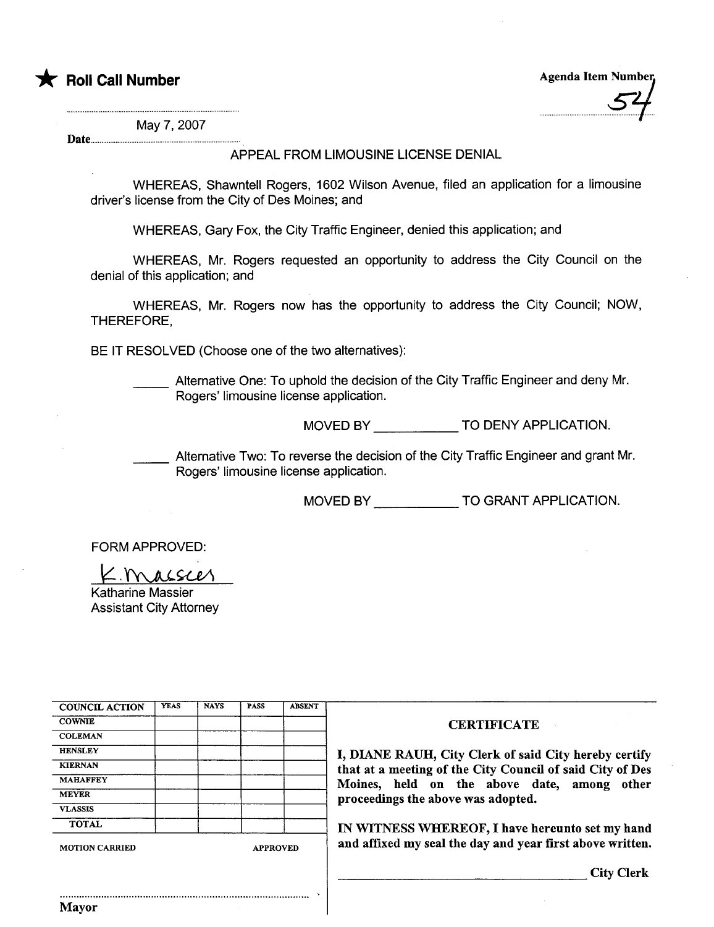



May 7, 2007

Date...

### APPEAL FROM LIMOUSINE LICENSE DENIAL

WHEREAS, Shawntell Rogers, 1602 Wilson Avenue, filed an application for a limousine driver's license from the City of Des Moines; and

WHEREAS, Gary Fox, the City Traffic Engineer, denied this application; and

WHEREAS, Mr. Rogers requested an opportunity to address the City Council on the denial of this application; and

WHEREAS, Mr. Rogers now has the opportunity to address the City Council; NOW, THEREFORE,

BE IT RESOLVED (Choose one of the two alternatives):

Alternative One: To uphold the decision of the City Traffic Engineer and deny Mr. Rogers' limousine license application.

MOVED BY \_\_\_\_\_\_\_\_\_\_\_\_\_\_\_ TO DENY APPLICATION.

Alternative Two: To reverse the decision of the City Traffic Engineer and grant Mr. Rogers' limousine license application.

MOVED BY \_\_\_\_\_\_\_\_\_\_\_\_\_\_\_ TO GRANT APPLICATION.

FORM APPROVED:<br>Katharine Massier

Katharine Massier Assistant City Attorney

| <b>COUNCIL ACTION</b> | <b>YEAS</b> | <b>NAYS</b> | <b>PASS</b>     | <b>ABSENT</b> |                                                           |
|-----------------------|-------------|-------------|-----------------|---------------|-----------------------------------------------------------|
| <b>COWNIE</b>         |             |             |                 |               | <b>CERTIFICATE</b>                                        |
| <b>COLEMAN</b>        |             |             |                 |               |                                                           |
| <b>HENSLEY</b>        |             |             |                 |               | I, DIANE RAUH, City Clerk of said City hereby certify     |
| <b>KIERNAN</b>        |             |             |                 |               | that at a meeting of the City Council of said City of Des |
| <b>MAHAFFEY</b>       |             |             |                 |               | Moines, held on the above date, among other               |
| <b>MEYER</b>          |             |             |                 |               | proceedings the above was adopted.                        |
| <b>VLASSIS</b>        |             |             |                 |               |                                                           |
| <b>TOTAL</b>          |             |             |                 |               | IN WITNESS WHEREOF, I have hereunto set my hand           |
| <b>MOTION CARRIED</b> |             |             | <b>APPROVED</b> |               | and affixed my seal the day and year first above written. |
|                       |             |             |                 |               | <b>City Clerk</b>                                         |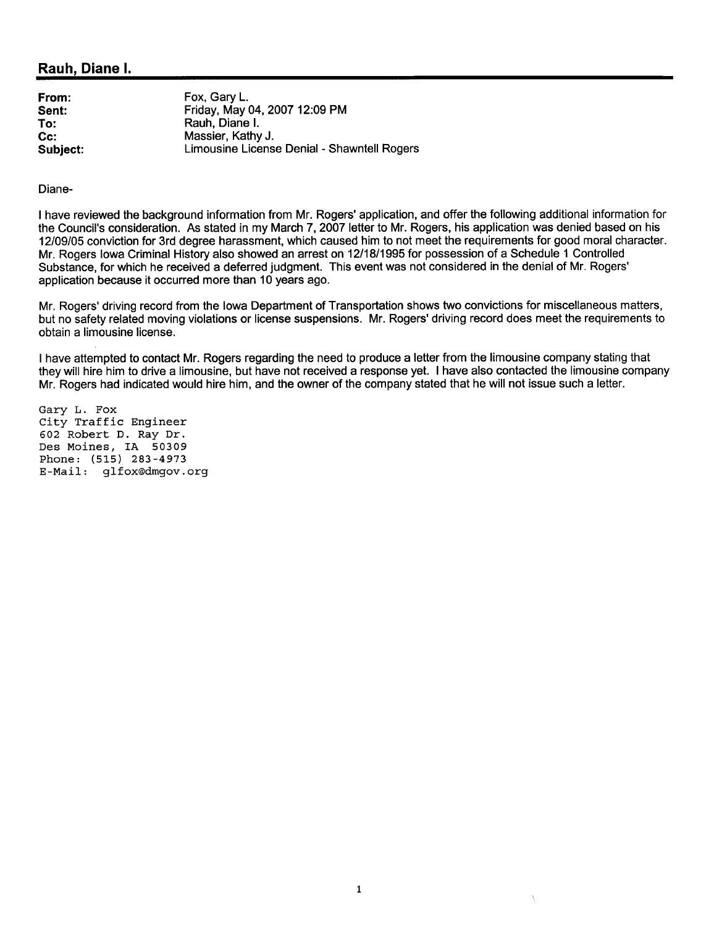### Rauh, Diane I.

| Fox, Gary L.                                |
|---------------------------------------------|
| Friday, May 04, 2007 12:09 PM               |
| Rauh, Diane I.                              |
| Massier, Kathy J.                           |
| Limousine License Denial - Shawntell Rogers |
|                                             |

Diane-

I have reviewed the background information from Mr. Rogers' application, and offer the following additional information for the Council's consideration. As stated in my March 7, 2007 letter to Mr. Rogers, his application was denied based on his 12/09/05 conviction for 3rd degree harassment, which caused him to not meet the requirements for good moral character. Mr. Rogers Iowa Criminal History also showed an arrest on 12/18/1995 for possession of a Schedule 1 Controlled Substance, for which he received a deferred judgment. This event was not considered in the denial of Mr. Rogers' application because it occurred more than 10 years ago.

Mr. Rogers' driving record from the Iowa Department of Transportation shows two convictions for miscellaneous matters, but no safety related moving violations or license suspensions. Mr. Rogers' driving record does meet the requirements to obtain a limousine license.

I have attempted to contact Mr. Rogers regarding the need to produce a letter from the limousine company stating that they will hire him to drive a limousine, but have not received a response yet. I have also contacted the limousine company Mr. Rogers had indicated would hire him, and the owner of the company stated that he will not issue such a letter.

Gary L. Fox City Traffic Engineer 602 Robert D. Ray Dr. Des Moines, IA 50309 Phone: (515) 283-4973 E-Mail: glfox@dmgov.org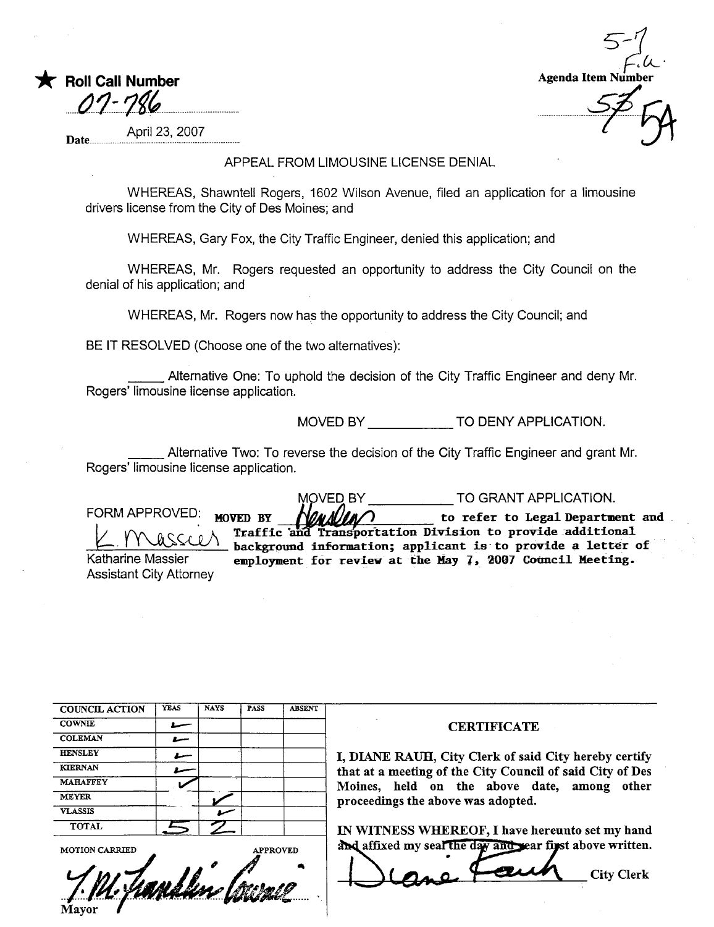| <b>T</b> Roll Call Number |
|---------------------------|
| 07-786                    |
|                           |

Agenda Item

April 23, 2007 Date.

#### APPEAL FROM LIMOUSINE LICENSE DENIAL

WHEREAS, Shawntell Rogers, 1602 Wilson Avenue, filed an application for a limousine drivers license from the City of Des Moines; and

WHEREAS, Gary Fox, the City Traffic Engineer, denied this application; and

WHEREAS, Mr. Rogers requested an opportunity to address the City Council on the denial of his application: and

WHEREAS, Mr. Rogers now has the opportunity to address the City Council; and

BE IT RESOLVED (Choose one of the two alternatives):

Alternative One: To uphold the decision of the City Traffic Engineer and deny Mr. Rogers' limousine license application.

MOVED BY \_\_\_\_\_\_\_\_\_\_\_\_\_\_\_ TO DENY APPLICATION.

Alternative Two: To reverse the decision of the City Traffic Engineer and grant Mr. Rogers' limousine license application.

TO GRANT APPLICATION. MOVED BY FORM APPROVED: to refer to Legal Department and MOVED BY Traffic and Transportation Division to provide additional  $A$ SSC $\Omega$ . background information; applicant is to provide a letter of employment for review at the May 7, 2007 Council Meeting. Katharine Massier **Assistant City Attorney** 

| <b>COUNCIL ACTION</b> | <b>YEAS</b> | <b>NAYS</b> | <b>PASS</b>     | <b>ABSENT</b> |                                                           |
|-----------------------|-------------|-------------|-----------------|---------------|-----------------------------------------------------------|
| <b>COWNIE</b>         |             |             |                 |               | <b>CERTIFICATE</b>                                        |
| <b>COLEMAN</b>        | سسلا        |             |                 |               |                                                           |
| <b>HENSLEY</b>        |             |             |                 |               | I, DIANE RAUH, City Clerk of said City hereby certify     |
| <b>KIERNAN</b>        |             |             |                 |               | that at a meeting of the City Council of said City of Des |
| <b>MAHAFFEY</b>       |             |             |                 |               | Moines, held on the above date, among other               |
| <b>MEYER</b>          |             |             |                 |               | proceedings the above was adopted.                        |
| <b>VLASSIS</b>        |             |             |                 |               |                                                           |
| <b>TOTAL</b>          |             |             |                 |               | IN WITNESS WHEREOF, I have hereunto set my hand           |
| <b>MOTION CARRIED</b> |             |             | <b>APPROVED</b> |               | and affixed my seal the day and year first above written. |
|                       |             |             |                 |               | <b>City Clerk</b>                                         |
| Mayor                 |             |             |                 |               |                                                           |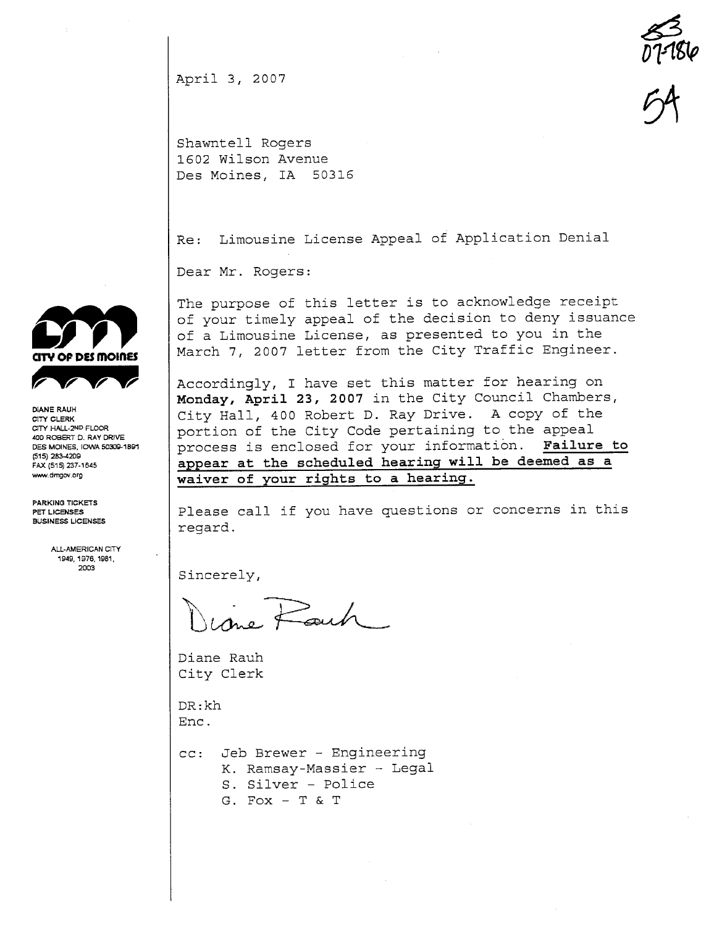April 3, 2007

 $\sum_{n=1}^{\infty}$ Dl-1g( 54

Shawntell Rogers 1602 Wilson Avenue Des Moines, IA 50316

Re: Limousine License Appeal of Application Denial

Dear Mr. Rogers:

The purpose of this letter is to acknowledge receipt of your timely appeal of the decision to deny issuance of a Limousine License, as presented to you in the March 7, 2007 letter from the City Traffic Engineer.

Accordingly, I have set this matter for hearing on Monday, April 23, 2007 in the City Council Chambers, City Hall, 400 Robert D. Ray Drive. A copy of the portion of the City Code pertaining to the appeal process is enclosed for your information. Failure to appear at the scheduled hearing will be deemed as a waiver of your rights to a hearing.

Please call if you have questions or concerns in this regard.

Sincerely, and

Diane Rauh City Clerk

DR:kh Ene.

cc: Jeb Brewer - Engineering K. Ramsay-Massier - Legal S. Silver - Police G. Fox - T & T



CITY CLERK CITY HALL-2ND FLOOR 400 ROBERT D. RAY DRIVE DES MOINES. IOWA 50309-1891 (515) 283-4209 FAX (515) 237.1645 ww.dmgov.org

PARKING TICKETS PET LICENSES BUSINESS LICENSES

> ALL-AMERICAN CITY 1949, 1976, 1981, 2003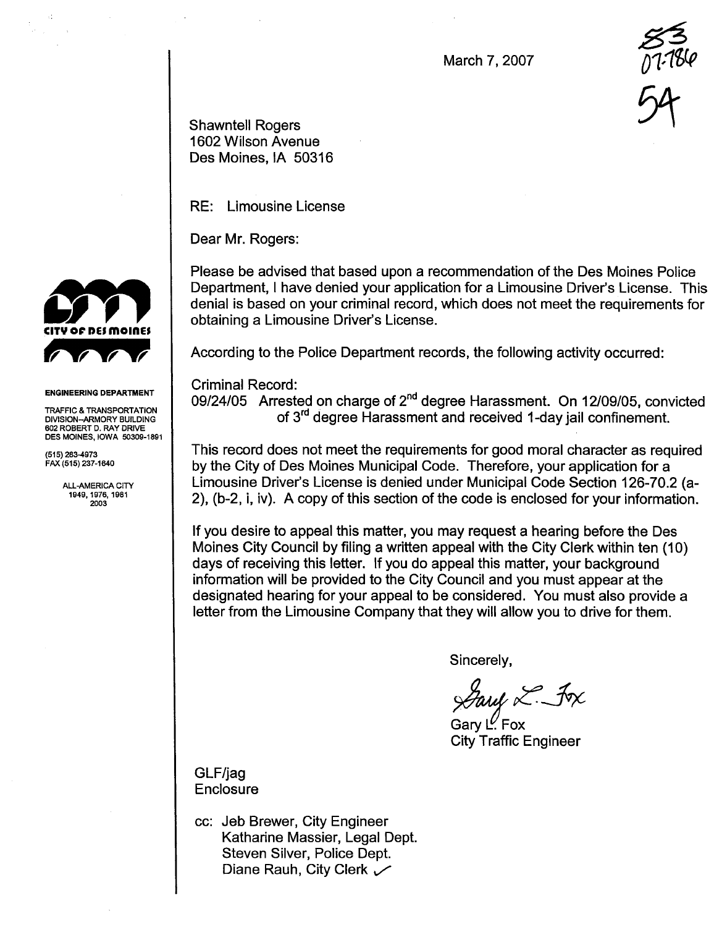March 7, 2007

 $\frac{25}{17.18}$  $U$  is control

Shawntell Rogers 54 1602 Wilson Avenue Des Moines, IA 50316

RE: Limousine License

Dear Mr. Rogers:

Please be advised that based upon a recommendation of the Des Moines Police Department, I have denied your application for a Limousine Driver's License. This denial is based on your criminal record, which does not meet the requirements for obtaining a Limousine Driver's License.

According to the Police Department records, the following activity occurred:

Criminal Record:

09/24/05 Arrested on charge of 2<sup>nd</sup> degree Harassment. On 12/09/05, convicted of 3rd degree Harassment and received 1-day jail confinement.

This record does not meet the requirements for good moral character as required by the City of Des Moines Municipal Code. Therefore, your application for a Limousine Driver's License is denied under Municipal Code Section 126-70.2 (a-2), (b-2, i, iv). A copy of this section of the code is enclosed for your information.

If you desire to appeal this matter, you may request a hearing before the Des Moines City Council by filng a written appeal with the City Clerk within ten (10) days of receiving this letter. If you do appeal this matter, your background information will be provided to the City Council and you must appear at the designated hearing for your appeal to be considered. You must also provide a letter from the Limousine Company that they will allow you to drive for them.

Sincerely,

 $\mathscr{G}\hspace{-1pt}\mathscr{U}\hspace{-1pt}\mathscr{U}$  in  $\mathscr{L}$  . For

Gary  $L'$  Fox **City Traffic Engineer** 



#### ENGINEERING DEPARTMENT

TRAFFIC & TRANSPORTATION DIVISION-ARMORY BUILDING 602 ROBERT D. RAY DRIVE DES MOINES, IOWA 50309-1891

(515) 283-4973 FAX (515) 237-1640

> ALL-AMERICA CITY 1949,1976, 1981 2003

> > GLF/jag **Enclosure**

cc: Jeb Brewer, City Engineer Katharine Massier, Legal Dept. Steven Silver, Police Dept. Diane Rauh, City Clerk  $\sqrt{}$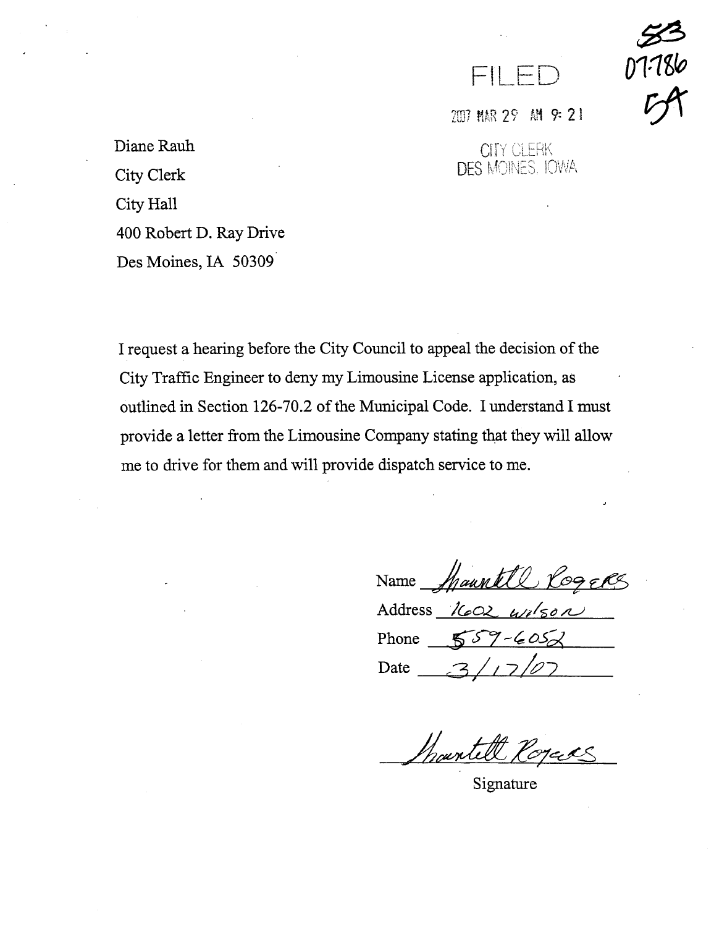

2007 MAR 29 MH 9: 21

**CITY CLERK** DES MOINES. IOWA

Diane Rauh City Clerk City Hall 400 Robert D. Ray Drive Des Moines, IA 50309

I request a hearing before the City Council to appeal the decision of the City Traffic Engineer to deny my Limousine License application, as outlined in Section 126-70.2 of the Municipal Code. I understand I must provide a letter from the Limousine Company stating that they will allow me to drive for them and will provide dispatch service to me.

Name Mauntll Rogers Address 1602 wilson

Phone  $559 - 605$ Date

hainte

Signature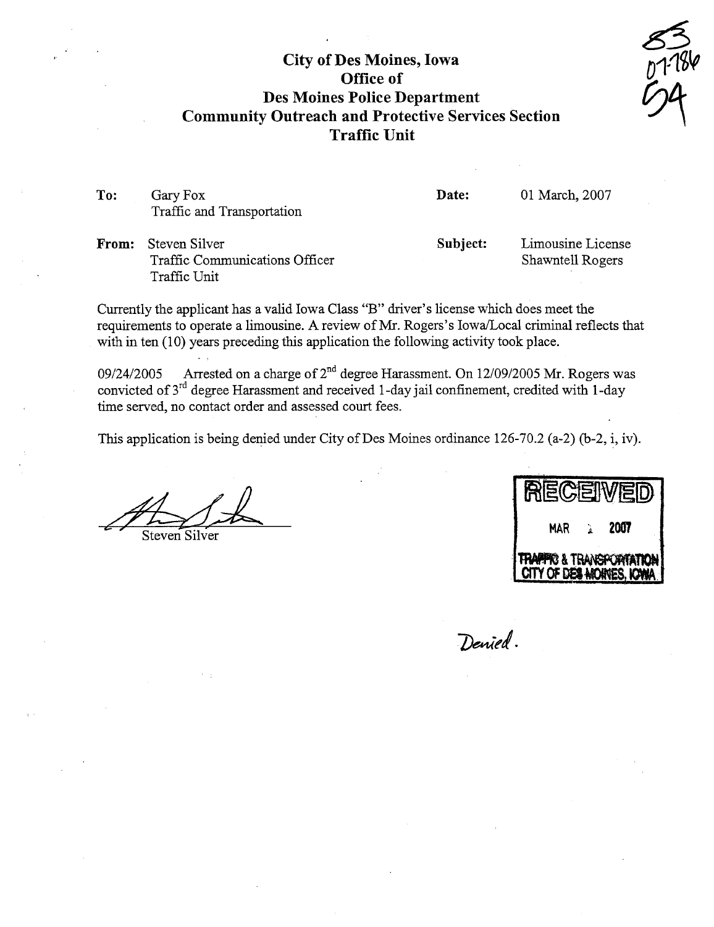# City of Des Moines, Iowa Office of Des Moines Police Department Community Outreach and Protective Services Section Traffic Unit

 $\frac{55}{111}$  $54$ 

To: Gary Fox Traffic and Transportation

Date: 01 March, 2007

From: Steven Silver Traffic Communications Officer Traffic Unit

Denied.

Subject: Limousine License Shawntell Rogers

Curently the applicant has a valid Iowa Class "B" drver's license which does meet the requirements to operate a limousine. A review of Mr. Rogers's Iowa/Local criminal reflects that with in ten (10) years preceding this application the following activity took place.

09/24/2005 Arrested on a charge of  $2^{nd}$  degree Harassment. On 12/09/2005 Mr. Rogers was convicted of  $3^{rd}$  degree Harassment and received 1-day jail confinement, credited with 1-day time served, no contact order and assessed court fees.

This application is being denied under City of Des Moines ordinance 126-70.2 (a-2) (b-2, i, iv).

|               | '肩而<br>$\mathbb{C}$ Ell  |
|---------------|--------------------------|
| Steven Silver | 2007<br><b>MAR</b>       |
|               | TRAPPIC & TRANSPORTATION |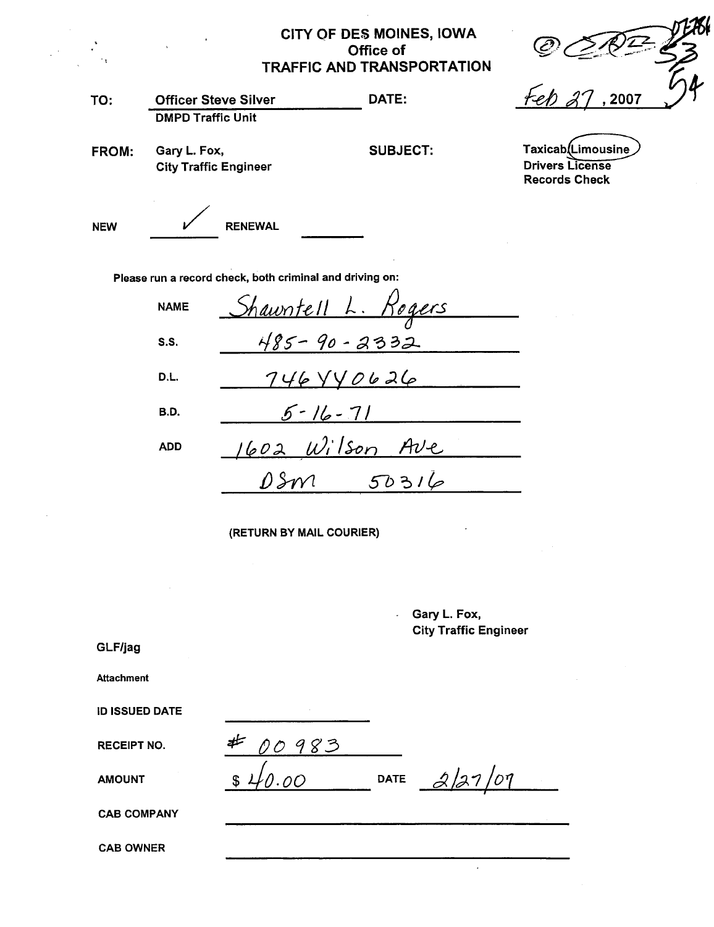## CITY OF DES MOINES, IOWA Office of **TRAFFIC AND TRANSPORTATION**

2007

Taxicab(Limousine **Drivers License Records Check** 

| TO:          | <b>Officer Steve Silver</b>                              | DATE:           |  |  |
|--------------|----------------------------------------------------------|-----------------|--|--|
|              | <b>DMPD Traffic Unit</b>                                 |                 |  |  |
| <b>FROM:</b> | Gary L. Fox,                                             | <b>SUBJECT:</b> |  |  |
|              | <b>City Traffic Engineer</b>                             |                 |  |  |
|              |                                                          |                 |  |  |
| <b>NEW</b>   | <b>RENEWAL</b>                                           |                 |  |  |
|              |                                                          |                 |  |  |
|              | Please run a record check, both criminal and driving on: |                 |  |  |

Shauntell L. Rogers **NAME**  $485 - 90 - 2332$  $S.S.$  $746440626$ D.L.  $5 - 16 - 71$ B.D. 1602 Wilson Ave **ADD**  $DSm$  $50316$ 

(RETURN BY MAIL COURIER)

|                       |          | ÷.          | Gary L. Fox,<br><b>City Traffic Engineer</b> |
|-----------------------|----------|-------------|----------------------------------------------|
| GLF/jag               |          |             |                                              |
| <b>Attachment</b>     |          |             |                                              |
| <b>ID ISSUED DATE</b> |          |             |                                              |
| <b>RECEIPT NO.</b>    | 00983    |             |                                              |
| <b>AMOUNT</b>         | 00<br>\$ | <b>DATE</b> | 2/27/07                                      |
| <b>CAB COMPANY</b>    |          |             |                                              |
|                       |          |             |                                              |

 $\ddot{\phantom{0}}$ 

**CAB OWNER**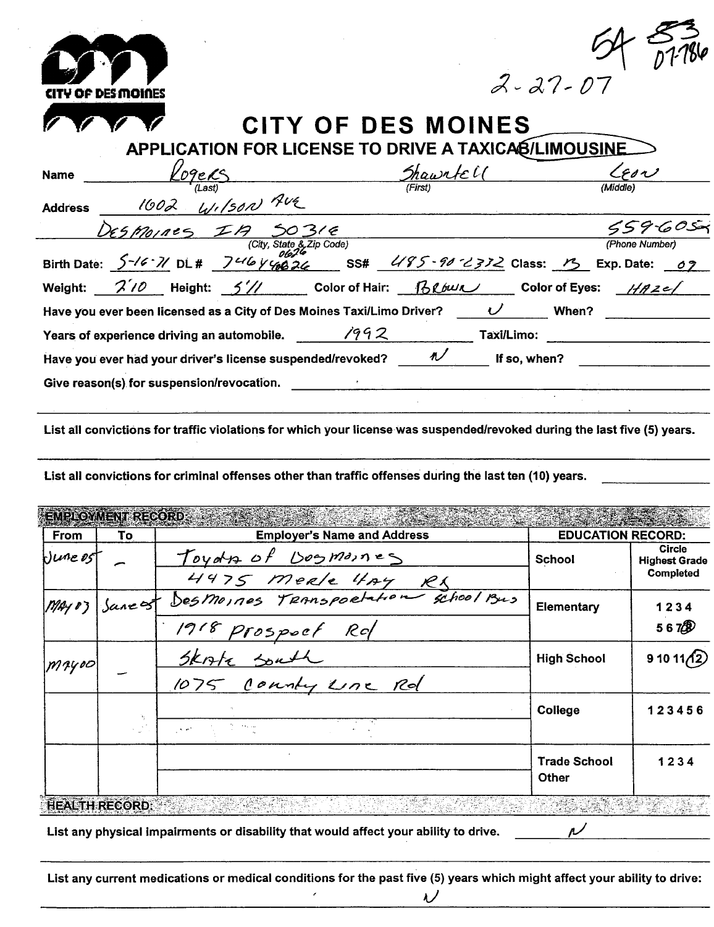| OF DESMOINES                                                                            |                                                      | $2 - 27 - 07$       |
|-----------------------------------------------------------------------------------------|------------------------------------------------------|---------------------|
|                                                                                         | CITY OF DES MOINES                                   |                     |
|                                                                                         | APPLICATION FOR LICENSE TO DRIVE A TAXICAB/LIMOUSINE |                     |
| '09eRS<br><b>Name</b>                                                                   | Shawntell                                            | $\zeta$ esn         |
| WILSON AUE<br>1602<br><b>Address</b>                                                    |                                                      |                     |
| ESMOINES IA                                                                             |                                                      | 55960S              |
| (City, State & Zip Code)                                                                |                                                      | (Phone Number)      |
| Birth Date: $5-16.7$ DL# $7-16$ y $9826$ SS# $495 - 90$ $232$ Class: $15$ Exp. Date: 07 |                                                      |                     |
| Weight: $\frac{2}{10}$ Height: $\frac{2}{10}$ Color of Hair: $\frac{1}{10}$             |                                                      | Color of Eyes: HAZe |
| Have you ever been licensed as a City of Des Moines Taxi/Limo Driver? $U$               |                                                      | When?               |
| Years of experience driving an automobile.                                              | 1992<br>Taxi/Limo:                                   |                     |
| Have you ever had your driver's license suspended/revoked?                              | $\sqrt{ }$<br>If so, when?                           |                     |
| Give reason(s) for suspension/revocation.                                               |                                                      |                     |
|                                                                                         |                                                      |                     |

List all convictions for traffic violations for which your license was suspended/revoked during the last five (5) years.

List all convictions for criminal offenses other than traffic offenses during the last ten (10) years.

| <b>From</b> | To             | <b>Employer's Name and Address</b>                                            | <b>EDUCATION RECORD:</b> |                                       |
|-------------|----------------|-------------------------------------------------------------------------------|--------------------------|---------------------------------------|
| $0$ une ost |                | Toyds of Dosmones<br>4975 meele 4Ay R1<br>Desmoines Transportation school Bus | <b>School</b>            | <b>Circle</b><br><b>Highest Grade</b> |
|             |                |                                                                               |                          | Completed                             |
|             | May 03 Sancest |                                                                               | 1234<br>Elementary       |                                       |
|             |                | 1918 Prospoet Rd                                                              |                          | 5670                                  |
| Mayoo       |                | Skorte South                                                                  | <b>High School</b>       | $91011\sqrt{2}$                       |
|             |                | 1075 County Une Rd                                                            |                          |                                       |
|             |                |                                                                               | College                  | 123456                                |
|             |                | The Concert Card                                                              |                          |                                       |
|             |                |                                                                               | <b>Trade School</b>      | 1234                                  |
|             |                |                                                                               | Other                    |                                       |

List any physical impairments or disability that would affect your ability to drive.

 $\epsilon$ 

List any current medications or medical conditions for the past five (5) years which might affect your ability to drive:

 $\boldsymbol{\mathcal{U}}$ 

 $\overline{\nu}$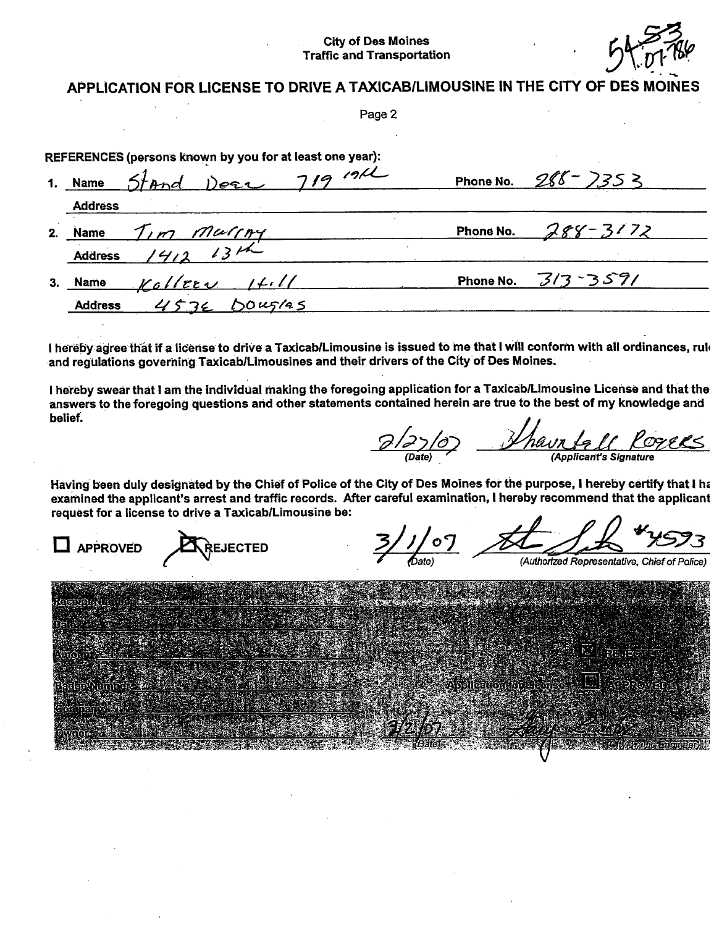#### **City of Des Moines Traffic and Transportation**



### APPLICATION FOR LICENSE TO DRIVE A TAXICAB/LIMOUSINE IN THE CITY OF DES M

Page 2

| REFERENCES (persons known by you for at least one year): |                        |
|----------------------------------------------------------|------------------------|
| 719191<br>1. Name Stand Dese                             | Phone No. $288 - 7353$ |
| <b>Address</b>                                           |                        |
| 2. Name                                                  | Phone No. 288-3172     |
| Name $T_{1}m$ mussing                                    |                        |
| $KoltreeV$ $Holl$<br>3. Name                             | Phone No. $3/3 - 357/$ |
| 453E DOUGLAS<br><b>Address</b>                           |                        |

I hereby agree that if a license to drive a Taxicab/Limousine is issued to me that I will conform with all ordinances, ruk and regulations governing Taxicab/Limousines and their drivers of the City of Des Moines.

I hereby swear that I am the individual making the foregoing application for a Taxicab/Limousine License and that the answers to the foregoing questions and other statements contained herein are true to the best of my knowledge and belief.

0/27/07 Thauntall Cogees

Having been duly designated by the Chief of Police of the City of Des Moines for the purpose, I hereby certify that I ha examined the applicant's arrest and traffic records. After careful examination, I hereby recommend that the applicant request for a license to drive a Taxicab/Limousine be:

 $^{\prime}$ 0 $\,$ **APPROVED REJECTED** Authorized Representative, Chief of Police)

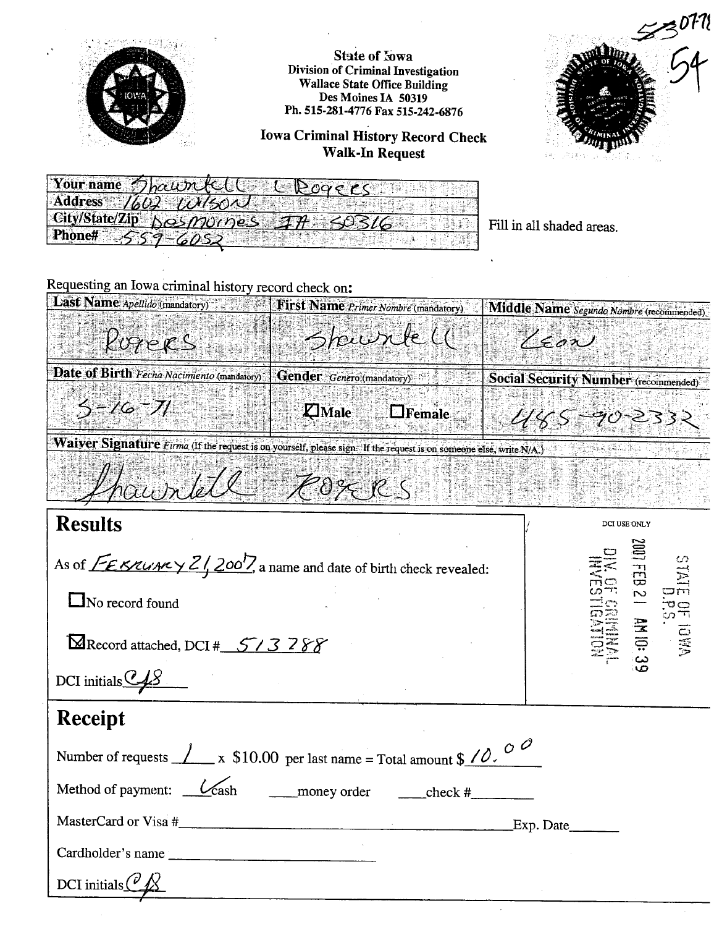

**State of Iowa Division of Criminal Investigation Wallace State Office Building** Des Moines IA 50319 Ph. 515-281-4776 Fax 515-242-6876

**Iowa Criminal History Record Check Walk-In Request** 





Fill in all shaded areas.

Requesting an Iowa criminal history record check on:

| Last Name Apellido (mandatory)                                                                                     | <b>First Name Primer Nombre (mandatory)</b> | Middle Name Segundo Nombre (recommended) |
|--------------------------------------------------------------------------------------------------------------------|---------------------------------------------|------------------------------------------|
| Rogers                                                                                                             | Spurlell                                    | $\gamma_{\epsilon}$ on                   |
| Date of Birth Fecha Nacimiento (mandatory)                                                                         | <b>Gender</b> Genero (mandatory)            | Social Security Number (recommended)     |
| $3 - 16 - 71$                                                                                                      | <b>Z</b> Male<br>$\Box$ Female              | $445 - 90 - 2332$                        |
| Waiver Signature Firma (If the request is on yourself, please sign. If the request is on someone else, write N/A.) |                                             |                                          |
| Shawrtell                                                                                                          | Porces                                      |                                          |

| <b>Results</b>                                                                                                               | <b>DCI USE ONLY</b>                                |
|------------------------------------------------------------------------------------------------------------------------------|----------------------------------------------------|
| As of $\sqrt{\frac{2\epsilon}{2}}$ KRUARY $2\sqrt{200}$ , a name and date of birth check revealed:<br>$\Box$ No record found | 2001FEB<br><b>STATE</b><br>EN E<br>Š<br>ص ہے۔<br>س |
| Record attached, DCI # 513788                                                                                                | <b>E.</b> IOWA<br>S.<br>S.                         |
| DCI initials $\mathcal{L}_2$                                                                                                 |                                                    |
| <b>Receipt</b>                                                                                                               |                                                    |
| Number of requests $\angle x$ \$10.00 per last name = Total amount \$ $\angle 0$ .                                           |                                                    |
| Method of payment: $\angle \cosh$ money order $\angle$ check #                                                               |                                                    |
|                                                                                                                              |                                                    |
| Cardholder's name                                                                                                            |                                                    |
| DCI initials $\binom{\nu}{\mathcal{K}}$                                                                                      |                                                    |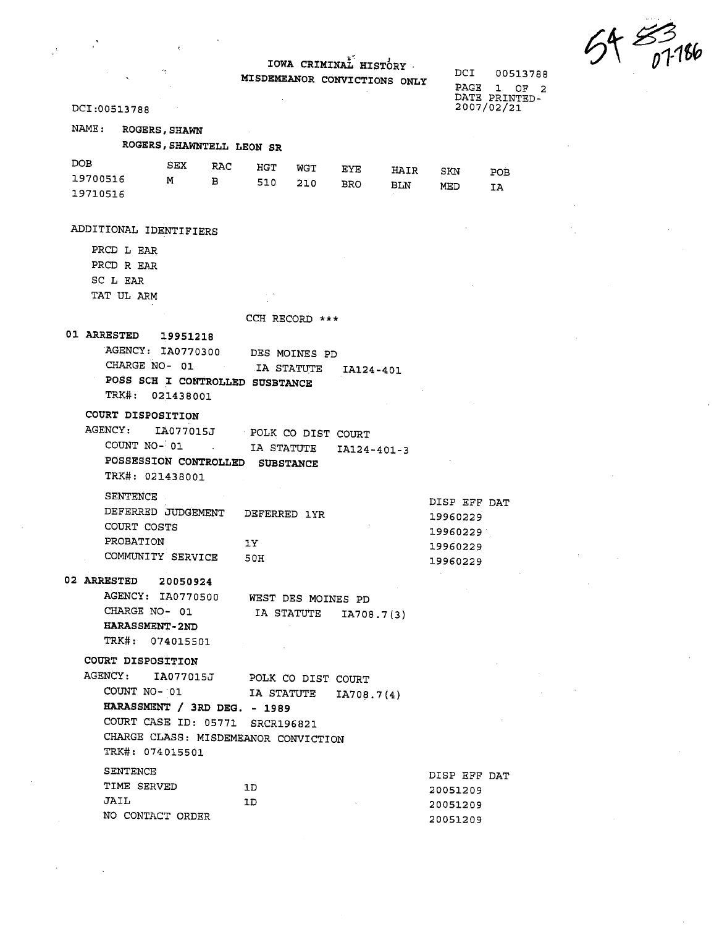...  $91\frac{6}{101}$ 

|              |                       |                           |                   |                                      |                             | IOWA CRIMINAL HISTORY<br>MISDEMEANOR CONVICTIONS ONLY |      | DCI<br>PAGE  | 00513788<br>$\mathbf{1}$<br>OF <sub>2</sub><br>DATE PRINTED- |  |
|--------------|-----------------------|---------------------------|-------------------|--------------------------------------|-----------------------------|-------------------------------------------------------|------|--------------|--------------------------------------------------------------|--|
| DCI:00513788 |                       |                           |                   |                                      |                             |                                                       |      |              | 2007/02/21                                                   |  |
| NAME:        | <b>ROGERS, SHAWN</b>  | ROGERS, SHAWNTELL LEON SR |                   |                                      |                             |                                                       |      |              |                                                              |  |
| DOB.         |                       | SEX                       | RAC               | HGT                                  | WGT                         |                                                       |      |              |                                                              |  |
| 19700516     |                       | м                         | в                 | 510                                  | 210                         | EYE                                                   | HAIR | SKN          | POB                                                          |  |
| 19710516     |                       |                           |                   |                                      |                             | BRO.                                                  | BLN  | MED          | IA                                                           |  |
|              |                       |                           |                   |                                      |                             |                                                       |      |              |                                                              |  |
|              |                       | ADDITIONAL IDENTIFIERS    |                   |                                      |                             |                                                       |      |              |                                                              |  |
|              | PRCD L EAR            |                           |                   |                                      |                             |                                                       |      |              |                                                              |  |
|              | PRCD R EAR            |                           |                   |                                      |                             |                                                       |      |              |                                                              |  |
| SC L EAR     |                       |                           |                   |                                      |                             |                                                       |      |              |                                                              |  |
|              | TAT UL ARM            |                           |                   |                                      |                             |                                                       |      |              |                                                              |  |
|              |                       |                           |                   | CCH RECORD ***                       |                             |                                                       |      |              |                                                              |  |
| 01 ARRESTED  |                       | 19951218                  |                   |                                      |                             |                                                       |      |              |                                                              |  |
|              |                       | AGENCY: IA0770300         |                   |                                      |                             |                                                       |      |              |                                                              |  |
|              | CHARGE NO- 01         |                           | <b>Contractor</b> |                                      | DES MOINES PD<br>IA STATUTE |                                                       |      |              |                                                              |  |
|              |                       |                           |                   | POSS SCH I CONTROLLED SUSBTANCE      |                             | IA124-401                                             |      |              |                                                              |  |
|              |                       | TRK#: 021438001           |                   |                                      |                             |                                                       |      |              |                                                              |  |
|              | COURT DISPOSITION     |                           |                   |                                      |                             |                                                       |      |              |                                                              |  |
| AGENCY:      |                       | IA077015J                 |                   | POLK CO DIST COURT                   |                             |                                                       |      |              |                                                              |  |
|              | COUNT NO- 01          |                           |                   | IA STATUTE                           |                             |                                                       |      |              |                                                              |  |
|              |                       | POSSESSION CONTROLLED     |                   | <b>SUBSTANCE</b>                     |                             | IA124-401-3                                           |      |              |                                                              |  |
|              | TRK#: 021438001       |                           |                   |                                      |                             |                                                       |      |              |                                                              |  |
|              |                       |                           |                   |                                      |                             |                                                       |      |              |                                                              |  |
|              | <b>SENTENCE</b>       |                           |                   |                                      |                             |                                                       |      | DISP EFF DAT |                                                              |  |
|              | COURT COSTS           | DEFERRED JUDGEMENT        |                   | DEFERRED 1YR                         |                             |                                                       |      | 19960229     |                                                              |  |
|              | PROBATION             |                           |                   |                                      |                             |                                                       |      | 19960229     |                                                              |  |
|              |                       | COMMUNITY SERVICE         |                   | 1Y                                   |                             |                                                       |      | 19960229     |                                                              |  |
|              |                       |                           |                   | 50H                                  |                             |                                                       |      | 19960229     |                                                              |  |
|              |                       | 02 ARRESTED 20050924      |                   |                                      |                             |                                                       |      |              |                                                              |  |
|              |                       |                           |                   | AGENCY: IA0770500 WEST DES MOINES PD |                             |                                                       |      |              |                                                              |  |
|              |                       | CHARGE NO- 01             |                   |                                      |                             | IA STATUTE IA708.7(3)                                 |      |              |                                                              |  |
|              | <b>HARASSMENT-2ND</b> |                           |                   |                                      |                             |                                                       |      |              |                                                              |  |
|              |                       | TRK#: 074015501           |                   |                                      |                             |                                                       |      |              |                                                              |  |
|              | COURT DISPOSITION     |                           |                   |                                      |                             |                                                       |      |              |                                                              |  |
|              |                       |                           |                   | AGENCY: IA077015J POLK CO DIST COURT |                             |                                                       |      |              |                                                              |  |
|              |                       | COUNT NO- 01              |                   |                                      |                             | IA STATUTE IA708.7(4)                                 |      |              |                                                              |  |
|              |                       |                           |                   | HARASSMENT / 3RD DEG. - 1989         |                             |                                                       |      |              |                                                              |  |
|              |                       |                           |                   | COURT CASE ID: 05771 SRCR196821      |                             |                                                       |      |              |                                                              |  |
|              |                       |                           |                   | CHARGE CLASS: MISDEMEANOR CONVICTION |                             |                                                       |      |              |                                                              |  |
|              | TRK#: 074015501       |                           |                   |                                      |                             |                                                       |      |              |                                                              |  |
|              | <b>SENTENCE</b>       |                           |                   |                                      |                             |                                                       |      | DISP EFF DAT |                                                              |  |
|              | TIME SERVED           |                           |                   | 1D.                                  |                             |                                                       |      | 20051209     |                                                              |  |
| JAIL         |                       |                           |                   | 1D                                   |                             |                                                       |      | 20051209     |                                                              |  |
|              |                       | NO CONTACT ORDER          |                   |                                      |                             |                                                       |      | 20051209     |                                                              |  |
|              |                       |                           |                   |                                      |                             |                                                       |      |              |                                                              |  |

 $\frac{1}{\sqrt{2}}$ 

 $\frac{1}{2}$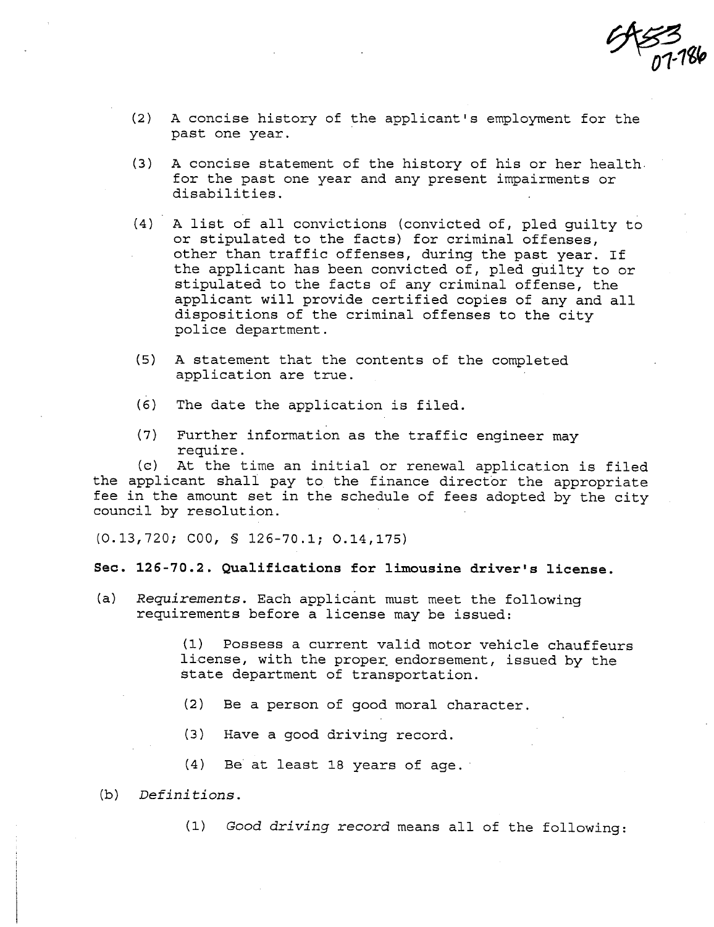$953$ <br>07-186

- $(2)$  A concise history of the applicant's employment for the past one year.
- (3) A concise statement of the history of his or her health. for the past one year and any present impairments or disabilities.
- (4) A list of all convictions (convicted of, pled guilty to or stipulated to the facts) for criminal offenses, other than traffic offenses, during the past year. If the applicant has been convicted of, pled guilty to or stipulated to the facts of any criminal offense, the applicant will provide certified copies of any and all dispositions of the criminal offenses to the city pol ice department.
- (5) A statement that the contents of the completed application are true.
- (6) The date the application is filed.
- (7) Further information as the traffic engineer may<br>require.<br>(c) At the time an initial or renewal application:

At the time an initial or renewal application is filed the applicant shall pay to the finance director the appropriate fee in the amount set in the schedule of fees adopted by the city council by resolution.

(0.13,720; COO, § 126-70.1; 0.14,175)

### Sec. 126-70.2. Qualifications for limousine driver's license.

(a) Requirements. Each applicant must meet the following requirements before a license may be issued:

> (1) Possess a current valid motor vehicle chauffeurs license, with the proper. endorsement, issued by the state department of transportation.

- (2) Be a person of good moral character.
- (3) Have a good driving record.
- (4) Be' at least 18 years of age.
- (b) Definitions.
	- (1) Good driving record means all of the following: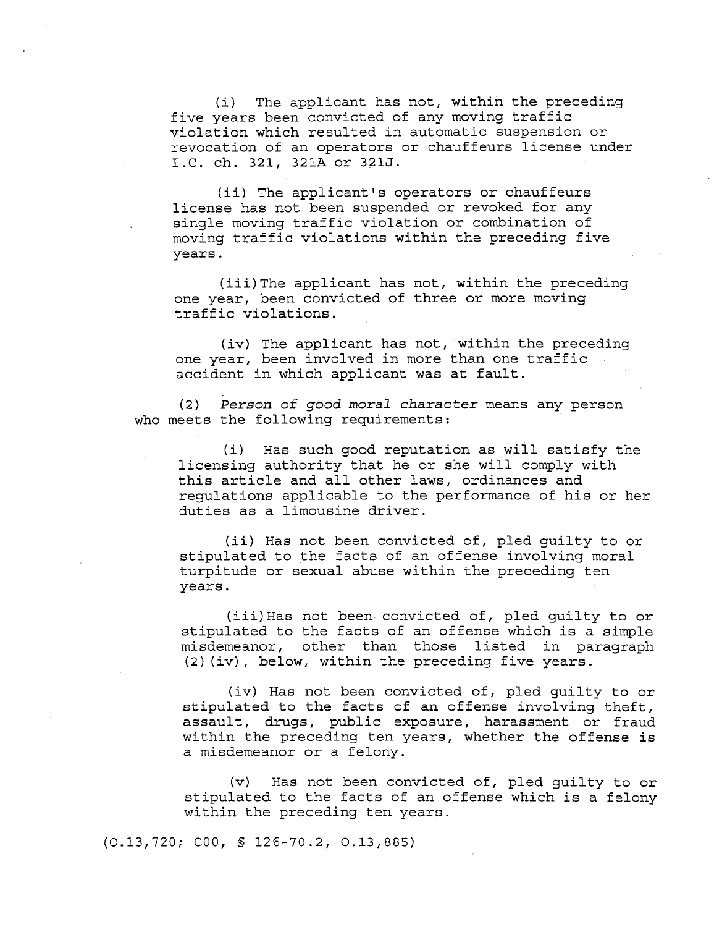$(i)$  The applicant has not, within the preceding five years been convicted of any moving traffic violation which resulted in automatic suspension or revocation of an operators or chauffeurs license under I.C. ch. 321, 321A or 321J.

(ii) The applicant's operators or chauffeurs license has not been suspended or revoked for any single moving traffic violation or combination of moving traffic violations within the preceding five years.

(iii)The applicant has not, within the preceding one year, been convicted of three or more moving traffic violations.

(iv) The applicant has not, within the preceding one year, been involved in more than one traffic accident in which applicant was at fault.

(2) Person of good moral character means any person who meets the following requirements:

(i) Has such good reputation as will satisfy the licensing authority that he or she will comply with this article and all other laws, ordinances and regulations applicable to the performance of his or her duties as a limousine driver.

(ii) Has not been convicted of, pled guilty to or stipulated to the facts of an offense involving moral turpitude or sexual abuse within the preceding ten years.

(iii) Has not been convicted of, pled guilty to or stipulated to the facts of an offense which is a simple misdemeanor, other than those listed in paragraph  $(2)$  (iv), below, within the preceding five years.

(iv) Has not been convicted of, pled guilty to or stipulated to the facts of an offense involving theft, assault, drugs, public exposure, harassment or fraud within the preceding ten years, whether the offense is a misdemeanor or a felony.

(v) Has not been convicted of, pled guilty to or stipulated to the facts of an offense which is a felony within the preceding ten years.

(0.13,720; COO, § 126-70.2, 0.13,885)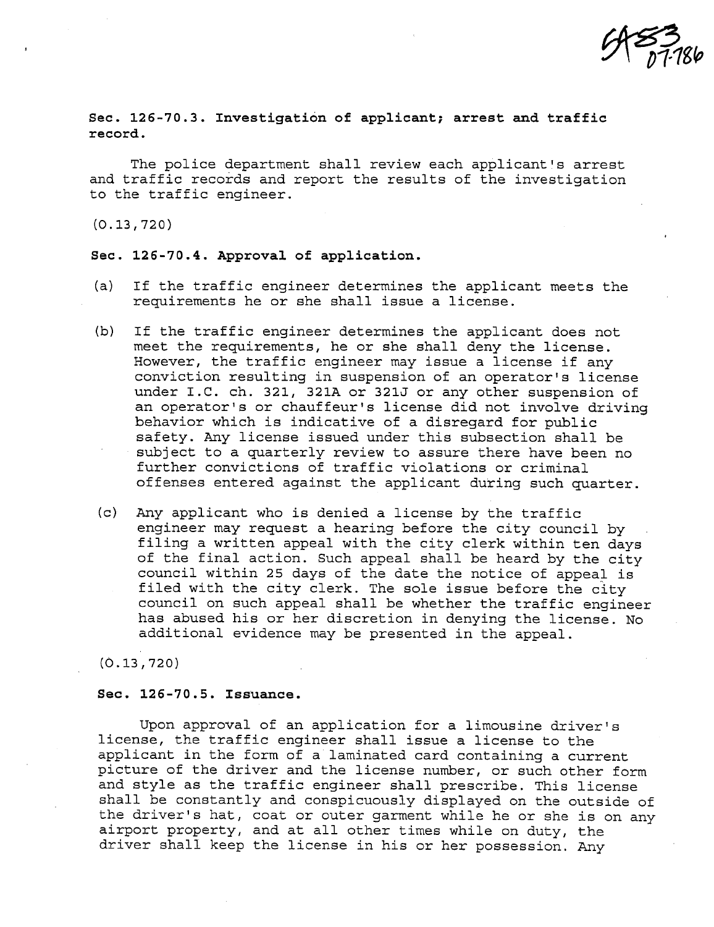$953/186$ 

Sec. 126-70.3. Investigation of applicant; arrest and traffic record.

The police department shall review each applicant's arrest and traffic records and report the results of the investigation to the traffic engineer.

(0.13,720)

#### Sec. 126-70.4. Approval of application.

- (a) If the traffic engineer determines the applicant meets the requirements he or she shall issue a license.
- (b) If the traffic engineer determines the applicant does not meet the requirements, he or she shall deny the license. However, the traffic engineer may issue a license if any conviction resulting in suspension of an operator's license under I.C. ch. 321, 321A or 321J or any other suspension of an operator's or chauffeur's license did not involve driving behavior which is indicative of a disregard for public safety. Any license issued under this subsection shall be subj ect to a quarterly review to assure there have been no further convictions of traffic violations or criminal offenses entered against the applicant during such quarter.
- (c) Any applicant who is denied a license by the traffic engineer may request a hearing before the city council by filing a written appeal with the city clerk within ten days of the final action. Such appeal shall be heard by the city council within 25 days of the date the notice of appeal is filed with the city clerk. The sole issue before the city council on such appeal shall be whether the traffic engineer has abused his or her discretion in denying the license. No additional evidence may be presented in the appeal.

(0.13,720)

### Sec. 126-70.5. Issuance.

Upon approval of an application for a limousine driver's license, the traffic engineer shall issue a license to the applicant in the form of a laminated card containing a current picture of the driver and the license number, or such other form and style as the traffic engineer shall prescribe. This license shall be constantly and conspicuously displayed on the outside of the driver's hat, coat or outer garment while he or she is on any airport property, and at all other times while on duty, the driver shall keep the license in his or her possession. Any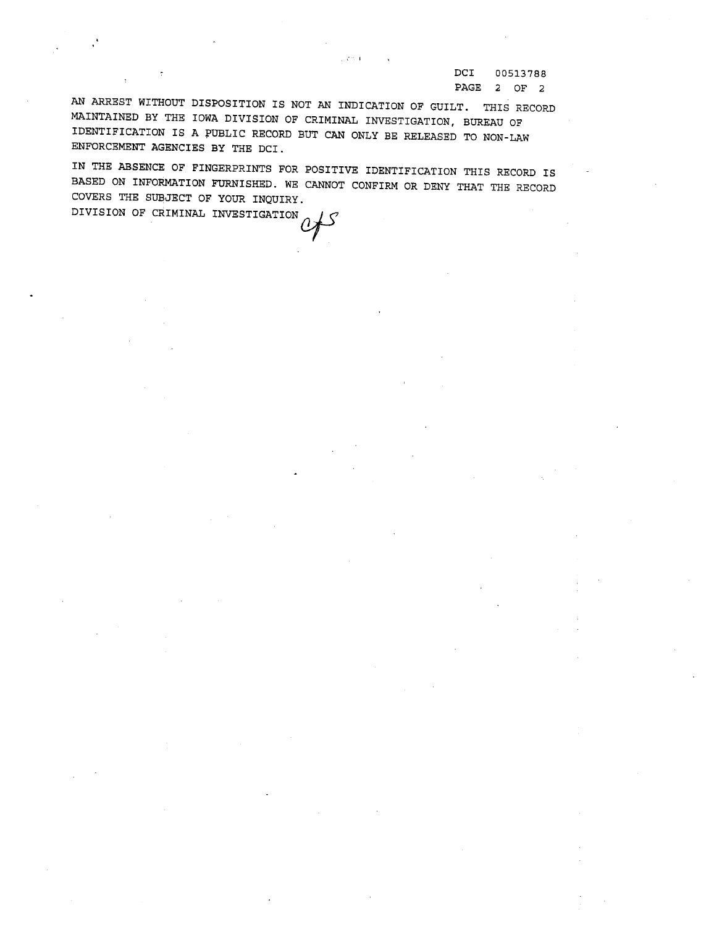DCI 00513788 PAGE 2 OF 2

AN AREST WITHOUT DISPOSITION is NOT AN INDICATION OF GUILT. THIS RECORD MAINTAINED BY THE IOWA DIVISION OF CRIMINAL INVESTIGATION, BUREAU OF IDENTIFICATION IS A PUBLIC RECORD BUT CAN ONLY BE RELEASED TO NON-LAW ENFORCEMENT AGENCIES BY THE DCI.

 $\sigma \approx 1$ 

IN THE ABSENCE OF FINGERPRINTS FOR POSITIVE IDENTIFICATION THIS RECORD is BASED ON INFORMATION FURNISHED. WE CANNOT CONFIRM OR DENY THAT THE RECORD COVERS THE SUEJECT OF YOUR INQUIRY. COVERS IN SUBJECT OF CRIMINAL INVESTIGATION  $\mathcal{O}$